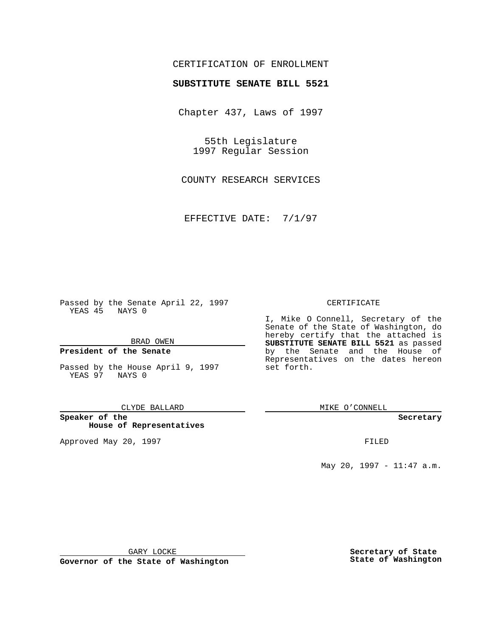## CERTIFICATION OF ENROLLMENT

# **SUBSTITUTE SENATE BILL 5521**

Chapter 437, Laws of 1997

55th Legislature 1997 Regular Session

COUNTY RESEARCH SERVICES

EFFECTIVE DATE: 7/1/97

Passed by the Senate April 22, 1997 YEAS 45 NAYS 0

BRAD OWEN

### **President of the Senate**

Passed by the House April 9, 1997 YEAS 97 NAYS 0

#### CLYDE BALLARD

**Speaker of the House of Representatives**

Approved May 20, 1997 **FILED** 

#### CERTIFICATE

I, Mike O Connell, Secretary of the Senate of the State of Washington, do hereby certify that the attached is **SUBSTITUTE SENATE BILL 5521** as passed by the Senate and the House of Representatives on the dates hereon set forth.

MIKE O'CONNELL

#### **Secretary**

May 20, 1997 - 11:47 a.m.

GARY LOCKE

**Governor of the State of Washington**

**Secretary of State State of Washington**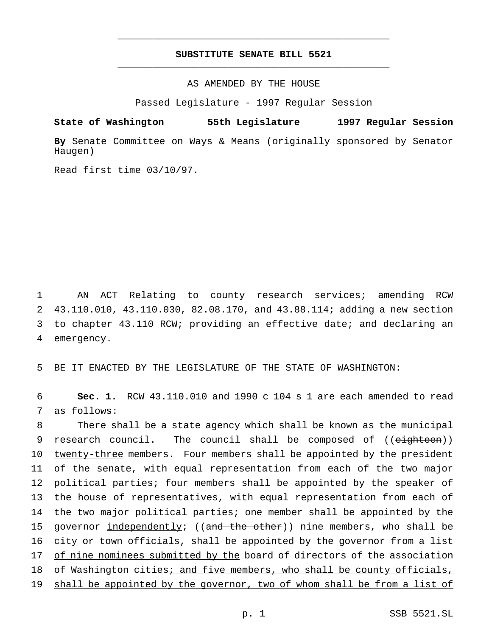# **SUBSTITUTE SENATE BILL 5521** \_\_\_\_\_\_\_\_\_\_\_\_\_\_\_\_\_\_\_\_\_\_\_\_\_\_\_\_\_\_\_\_\_\_\_\_\_\_\_\_\_\_\_\_\_\_\_

\_\_\_\_\_\_\_\_\_\_\_\_\_\_\_\_\_\_\_\_\_\_\_\_\_\_\_\_\_\_\_\_\_\_\_\_\_\_\_\_\_\_\_\_\_\_\_

## AS AMENDED BY THE HOUSE

Passed Legislature - 1997 Regular Session

**State of Washington 55th Legislature 1997 Regular Session**

**By** Senate Committee on Ways & Means (originally sponsored by Senator Haugen)

Read first time 03/10/97.

 AN ACT Relating to county research services; amending RCW 43.110.010, 43.110.030, 82.08.170, and 43.88.114; adding a new section to chapter 43.110 RCW; providing an effective date; and declaring an emergency.

5 BE IT ENACTED BY THE LEGISLATURE OF THE STATE OF WASHINGTON:

6 **Sec. 1.** RCW 43.110.010 and 1990 c 104 s 1 are each amended to read 7 as follows:

8 There shall be a state agency which shall be known as the municipal 9 research council. The council shall be composed of ((eighteen)) 10 twenty-three members. Four members shall be appointed by the president 11 of the senate, with equal representation from each of the two major 12 political parties; four members shall be appointed by the speaker of 13 the house of representatives, with equal representation from each of 14 the two major political parties; one member shall be appointed by the 15 governor independently; ((and the other)) nine members, who shall be 16 city or town officials, shall be appointed by the governor from a list 17 of nine nominees submitted by the board of directors of the association 18 of Washington cities; and five members, who shall be county officials, 19 shall be appointed by the governor, two of whom shall be from a list of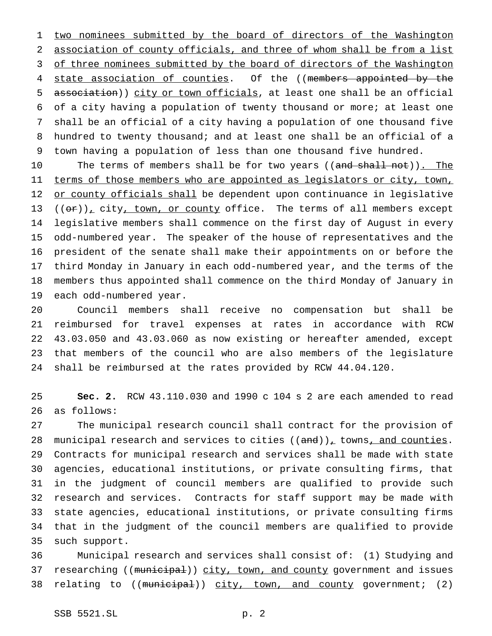1 two nominees submitted by the board of directors of the Washington association of county officials, and three of whom shall be from a list 3 of three nominees submitted by the board of directors of the Washington 4 state association of counties. Of the ((members appointed by the association)) city or town officials, at least one shall be an official of a city having a population of twenty thousand or more; at least one shall be an official of a city having a population of one thousand five hundred to twenty thousand; and at least one shall be an official of a town having a population of less than one thousand five hundred.

10 The terms of members shall be for two years ((and shall not)). The 11 terms of those members who are appointed as legislators or city, town, 12 or county officials shall be dependent upon continuance in legislative  $((or))_r$  city, town, or county office. The terms of all members except legislative members shall commence on the first day of August in every odd-numbered year. The speaker of the house of representatives and the president of the senate shall make their appointments on or before the third Monday in January in each odd-numbered year, and the terms of the members thus appointed shall commence on the third Monday of January in each odd-numbered year.

 Council members shall receive no compensation but shall be reimbursed for travel expenses at rates in accordance with RCW 43.03.050 and 43.03.060 as now existing or hereafter amended, except that members of the council who are also members of the legislature shall be reimbursed at the rates provided by RCW 44.04.120.

 **Sec. 2.** RCW 43.110.030 and 1990 c 104 s 2 are each amended to read as follows:

 The municipal research council shall contract for the provision of 28 municipal research and services to cities  $((and))_t$  towns, and counties. Contracts for municipal research and services shall be made with state agencies, educational institutions, or private consulting firms, that in the judgment of council members are qualified to provide such research and services. Contracts for staff support may be made with state agencies, educational institutions, or private consulting firms that in the judgment of the council members are qualified to provide such support.

 Municipal research and services shall consist of: (1) Studying and 37 researching ((municipal)) city, town, and county government and issues 38 relating to ((municipal)) city, town, and county government; (2)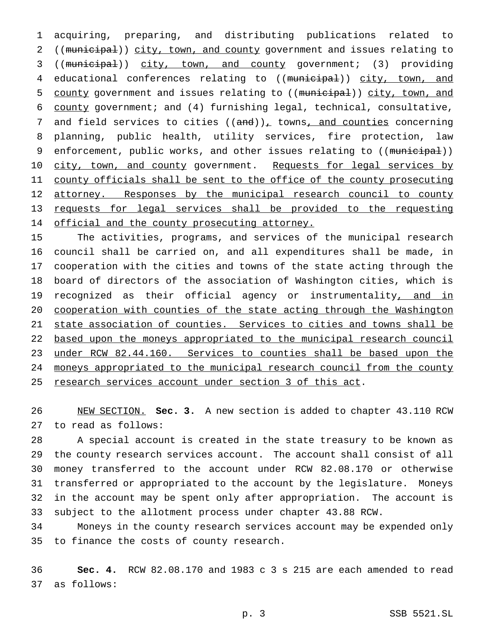acquiring, preparing, and distributing publications related to ((municipal)) city, town, and county government and issues relating to ((municipal)) city, town, and county government; (3) providing 4 educational conferences relating to ((municipal)) city, town, and 5 county government and issues relating to ((municipal)) city, town, and county government; and (4) furnishing legal, technical, consultative, 7 and field services to cities  $((and))_L$  towns, and counties concerning planning, public health, utility services, fire protection, law 9 enforcement, public works, and other issues relating to ((municipal)) 10 city, town, and county government. Requests for legal services by 11 county officials shall be sent to the office of the county prosecuting 12 attorney. Responses by the municipal research council to county requests for legal services shall be provided to the requesting 14 official and the county prosecuting attorney.

 The activities, programs, and services of the municipal research council shall be carried on, and all expenditures shall be made, in cooperation with the cities and towns of the state acting through the board of directors of the association of Washington cities, which is 19 recognized as their official agency or instrumentality, and in cooperation with counties of the state acting through the Washington state association of counties. Services to cities and towns shall be based upon the moneys appropriated to the municipal research council under RCW 82.44.160. Services to counties shall be based upon the 24 moneys appropriated to the municipal research council from the county 25 research services account under section 3 of this act.

 NEW SECTION. **Sec. 3.** A new section is added to chapter 43.110 RCW to read as follows:

 A special account is created in the state treasury to be known as the county research services account. The account shall consist of all money transferred to the account under RCW 82.08.170 or otherwise transferred or appropriated to the account by the legislature. Moneys in the account may be spent only after appropriation. The account is subject to the allotment process under chapter 43.88 RCW.

 Moneys in the county research services account may be expended only to finance the costs of county research.

 **Sec. 4.** RCW 82.08.170 and 1983 c 3 s 215 are each amended to read as follows: